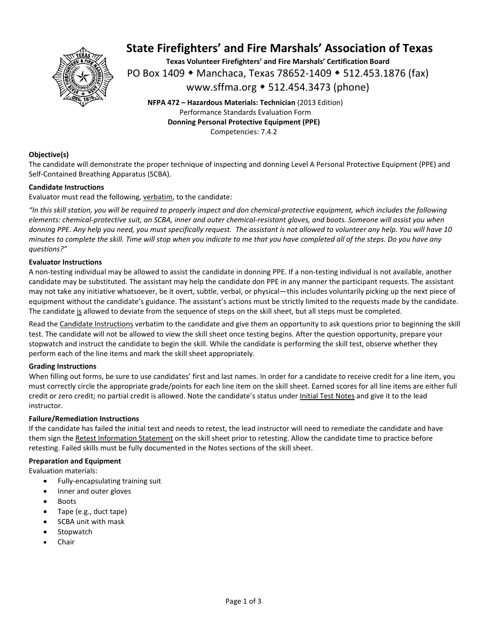

## **State Firefighters' and Fire Marshals' Association of Texas**

**Texas Volunteer Firefighters' and Fire Marshals' Certification Board**  PO Box 1409 ◆ Manchaca, Texas 78652-1409 ◆ 512.453.1876 (fax) www.sffma.org 512.454.3473 (phone)

**NFPA 472 – Hazardous Materials: Technician** (2013 Edition) Performance Standards Evaluation Form **Donning Personal Protective Equipment (PPE)** 

Competencies: 7.4.2

#### **Objective(s)**

The candidate will demonstrate the proper technique of inspecting and donning Level A Personal Protective Equipment (PPE) and Self‐Contained Breathing Apparatus (SCBA).

#### **Candidate Instructions**

Evaluator must read the following, verbatim, to the candidate:

*"In this skill station, you will be required to properly inspect and don chemical‐protective equipment, which includes the following elements: chemical‐protective suit, an SCBA, inner and outer chemical‐resistant gloves, and boots. Someone will assist you when donning PPE. Any help you need, you must specifically request. The assistant is not allowed to volunteer any help. You will have 10 minutes to complete the skill. Time will stop when you indicate to me that you have completed all of the steps. Do you have any questions?"* 

#### **Evaluator Instructions**

A non‐testing individual may be allowed to assist the candidate in donning PPE. If a non‐testing individual is not available, another candidate may be substituted. The assistant may help the candidate don PPE in any manner the participant requests. The assistant may not take any initiative whatsoever, be it overt, subtle, verbal, or physical—this includes voluntarily picking up the next piece of equipment without the candidate's guidance. The assistant's actions must be strictly limited to the requests made by the candidate. The candidate is allowed to deviate from the sequence of steps on the skill sheet, but all steps must be completed.

Read the Candidate Instructions verbatim to the candidate and give them an opportunity to ask questions prior to beginning the skill test. The candidate will not be allowed to view the skill sheet once testing begins. After the question opportunity, prepare your stopwatch and instruct the candidate to begin the skill. While the candidate is performing the skill test, observe whether they perform each of the line items and mark the skill sheet appropriately.

#### **Grading Instructions**

When filling out forms, be sure to use candidates' first and last names. In order for a candidate to receive credit for a line item, you must correctly circle the appropriate grade/points for each line item on the skill sheet. Earned scores for all line items are either full credit or zero credit; no partial credit is allowed. Note the candidate's status under Initial Test Notes and give it to the lead instructor.

#### **Failure/Remediation Instructions**

If the candidate has failed the initial test and needs to retest, the lead instructor will need to remediate the candidate and have them sign the Retest Information Statement on the skill sheet prior to retesting. Allow the candidate time to practice before retesting. Failed skills must be fully documented in the Notes sections of the skill sheet.

#### **Preparation and Equipment**

Evaluation materials:

- Fully‐encapsulating training suit
- Inner and outer gloves
- Boots
- Tape (e.g., duct tape)
- SCBA unit with mask
- **Stopwatch**
- Chair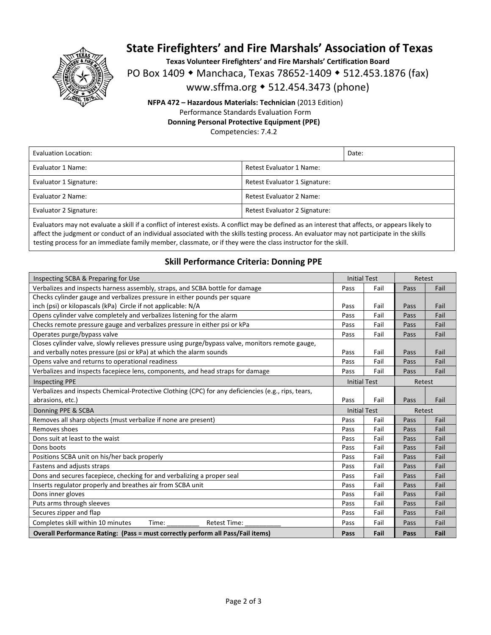

## **State Firefighters' and Fire Marshals' Association of Texas**

**Texas Volunteer Firefighters' and Fire Marshals' Certification Board** 

PO Box 1409 • Manchaca, Texas 78652-1409 • 512.453.1876 (fax)

www.sffma.org 512.454.3473 (phone)

**NFPA 472 – Hazardous Materials: Technician** (2013 Edition) Performance Standards Evaluation Form **Donning Personal Protective Equipment (PPE)** 

Competencies: 7.4.2

| Evaluation Location:   |                               | Date: |
|------------------------|-------------------------------|-------|
| Evaluator 1 Name:      | Retest Evaluator 1 Name:      |       |
| Evaluator 1 Signature: | Retest Evaluator 1 Signature: |       |
| Evaluator 2 Name:      | Retest Evaluator 2 Name:      |       |
| Evaluator 2 Signature: | Retest Evaluator 2 Signature: |       |

Evaluators may not evaluate a skill if a conflict of interest exists. A conflict may be defined as an interest that affects, or appears likely to affect the judgment or conduct of an individual associated with the skills testing process. An evaluator may not participate in the skills testing process for an immediate family member, classmate, or if they were the class instructor for the skill.

### **Skill Performance Criteria: Donning PPE**

| Inspecting SCBA & Preparing for Use                                                                 | <b>Initial Test</b> |      | Retest |      |
|-----------------------------------------------------------------------------------------------------|---------------------|------|--------|------|
| Verbalizes and inspects harness assembly, straps, and SCBA bottle for damage                        | Pass                | Fail | Pass   | Fail |
| Checks cylinder gauge and verbalizes pressure in either pounds per square                           |                     |      |        |      |
| inch (psi) or kilopascals (kPa) Circle if not applicable: N/A                                       | Pass                | Fail | Pass   | Fail |
| Opens cylinder valve completely and verbalizes listening for the alarm                              | Pass                | Fail | Pass   | Fail |
| Checks remote pressure gauge and verbalizes pressure in either psi or kPa                           | Pass                | Fail | Pass   | Fail |
| Operates purge/bypass valve                                                                         | Pass                | Fail | Pass   | Fail |
| Closes cylinder valve, slowly relieves pressure using purge/bypass valve, monitors remote gauge,    |                     |      |        |      |
| and verbally notes pressure (psi or kPa) at which the alarm sounds                                  | Pass                | Fail | Pass   | Fail |
| Opens valve and returns to operational readiness                                                    | Pass                | Fail | Pass   | Fail |
| Verbalizes and inspects facepiece lens, components, and head straps for damage                      | Pass                | Fail | Pass   | Fail |
| <b>Inspecting PPE</b>                                                                               | <b>Initial Test</b> |      | Retest |      |
| Verbalizes and inspects Chemical-Protective Clothing (CPC) for any deficiencies (e.g., rips, tears, |                     |      |        |      |
| abrasions, etc.)                                                                                    | Pass                | Fail | Pass   | Fail |
|                                                                                                     | <b>Initial Test</b> |      | Retest |      |
| Donning PPE & SCBA                                                                                  |                     |      |        |      |
| Removes all sharp objects (must verbalize if none are present)                                      | Pass                | Fail | Pass   | Fail |
| Removes shoes                                                                                       | Pass                | Fail | Pass   | Fail |
| Dons suit at least to the waist                                                                     | Pass                | Fail | Pass   | Fail |
| Dons boots                                                                                          | Pass                | Fail | Pass   | Fail |
| Positions SCBA unit on his/her back properly                                                        | Pass                | Fail | Pass   | Fail |
| Fastens and adjusts straps                                                                          | Pass                | Fail | Pass   | Fail |
| Dons and secures facepiece, checking for and verbalizing a proper seal                              | Pass                | Fail | Pass   | Fail |
| Inserts regulator properly and breathes air from SCBA unit                                          | Pass                | Fail | Pass   | Fail |
| Dons inner gloves                                                                                   | Pass                | Fail | Pass   | Fail |
| Puts arms through sleeves                                                                           | Pass                | Fail | Pass   | Fail |
| Secures zipper and flap                                                                             | Pass                | Fail | Pass   | Fail |
| Completes skill within 10 minutes<br>Time:<br><b>Retest Time:</b>                                   | Pass                | Fail | Pass   | Fail |